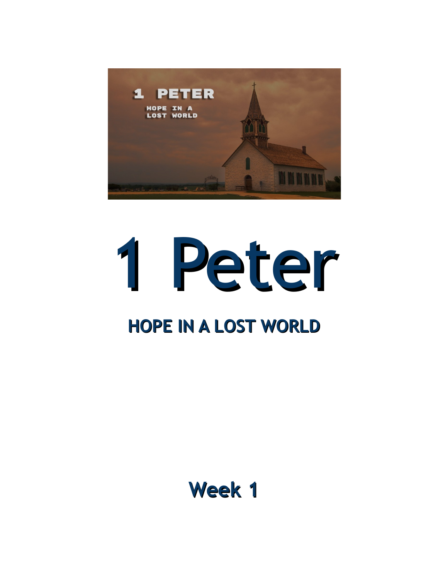



#### **Week 1**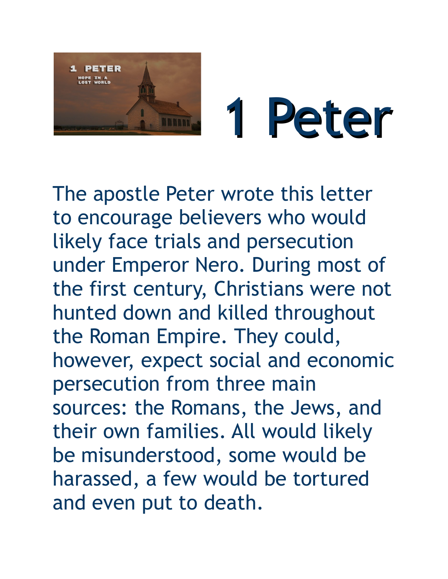

# 1 Peter

The apostle Peter wrote this letter to encourage believers who would likely face trials and persecution under Emperor Nero. During most of the first century, Christians were not hunted down and killed throughout the Roman Empire. They could, however, expect social and economic persecution from three main sources: the Romans, the Jews, and their own families. All would likely be misunderstood, some would be harassed, a few would be tortured and even put to death.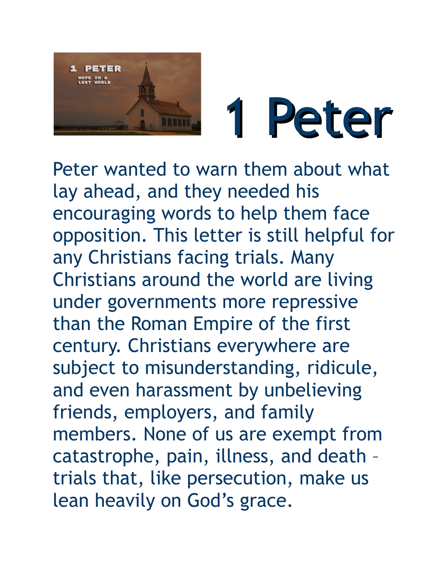



Peter wanted to warn them about what lay ahead, and they needed his encouraging words to help them face opposition. This letter is still helpful for any Christians facing trials. Many Christians around the world are living under governments more repressive than the Roman Empire of the first century. Christians everywhere are subject to misunderstanding, ridicule, and even harassment by unbelieving friends, employers, and family members. None of us are exempt from catastrophe, pain, illness, and death – trials that, like persecution, make us lean heavily on God's grace.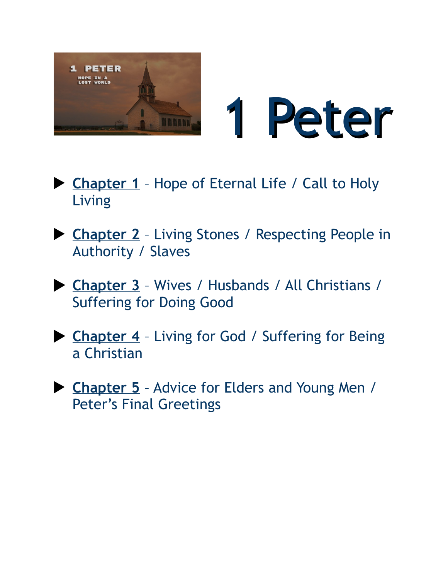



- ▶ Chapter 1 Hope of Eternal Life / Call to Holy Living
- **Chapter 2** Living Stones / Respecting People in Authority / Slaves
- **Chapter 3** Wives / Husbands / All Christians / Suffering for Doing Good
- **Chapter 4** Living for God / Suffering for Being a Christian
- **Chapter 5** Advice for Elders and Young Men / Peter's Final Greetings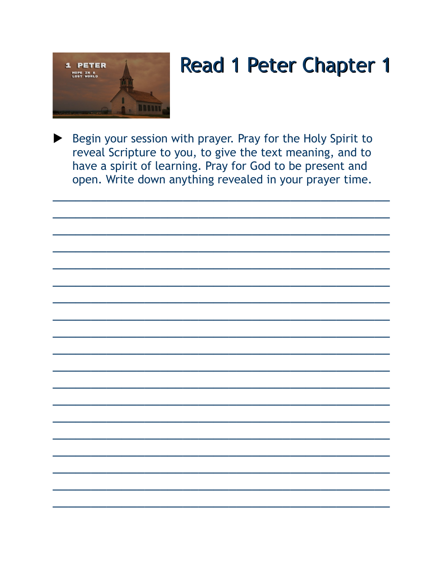

Begin your session with prayer. Pray for the Holy Spirit to reveal Scripture to you, to give the text meaning, and to have a spirit of learning. Pray for God to be present and open. Write down anything revealed in your prayer time.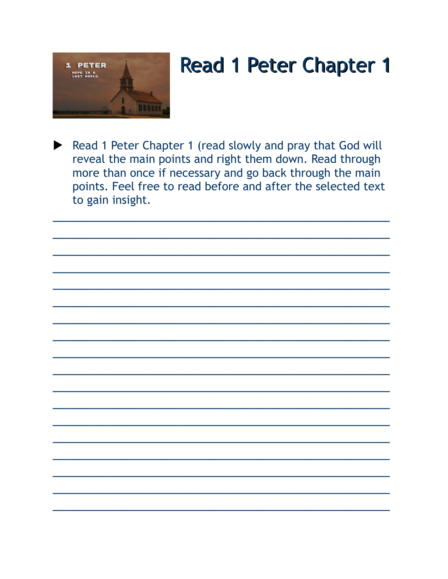

Read 1 Peter Chapter 1 (read slowly and pray that God will reveal the main points and right them down. Read through more than once if necessary and go back through the main points. Feel free to read before and after the selected text to gain insight.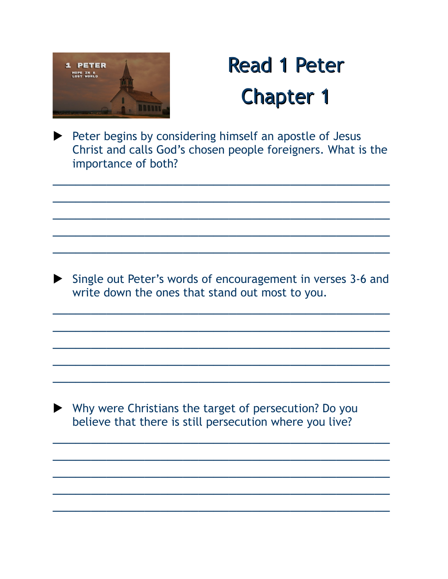

Peter begins by considering himself an apostle of Jesus Christ and calls God's chosen people foreigners. What is the importance of both?

 $\mathcal{L}_\text{max}$  and  $\mathcal{L}_\text{max}$  and  $\mathcal{L}_\text{max}$  and  $\mathcal{L}_\text{max}$  and  $\mathcal{L}_\text{max}$  and  $\mathcal{L}_\text{max}$ 

 $\overline{\phantom{a}}$  , and the contract of the contract of the contract of the contract of the contract of the contract of the contract of the contract of the contract of the contract of the contract of the contract of the contrac

 $\mathcal{L}_\text{max}$  and  $\mathcal{L}_\text{max}$  and  $\mathcal{L}_\text{max}$  and  $\mathcal{L}_\text{max}$  and  $\mathcal{L}_\text{max}$  and  $\mathcal{L}_\text{max}$ 

 $\overline{\phantom{a}}$  , and the contract of the contract of the contract of the contract of the contract of the contract of the contract of the contract of the contract of the contract of the contract of the contract of the contrac

 $\mathcal{L}_\text{max}$  and  $\mathcal{L}_\text{max}$  and  $\mathcal{L}_\text{max}$  and  $\mathcal{L}_\text{max}$  and  $\mathcal{L}_\text{max}$  and  $\mathcal{L}_\text{max}$ 

Single out Peter's words of encouragement in verses 3-6 and write down the ones that stand out most to you.

 $\overline{\phantom{a}}$  , and the contract of the contract of the contract of the contract of the contract of the contract of the contract of the contract of the contract of the contract of the contract of the contract of the contrac

 $\overline{\phantom{a}}$  , and the contract of the contract of the contract of the contract of the contract of the contract of the contract of the contract of the contract of the contract of the contract of the contract of the contrac

 $\overline{\phantom{a}}$  , and the contract of the contract of the contract of the contract of the contract of the contract of the contract of the contract of the contract of the contract of the contract of the contract of the contrac

 $\overline{\phantom{a}}$  , and the contract of the contract of the contract of the contract of the contract of the contract of the contract of the contract of the contract of the contract of the contract of the contract of the contrac

 $\overline{\phantom{a}}$  , and the contract of the contract of the contract of the contract of the contract of the contract of the contract of the contract of the contract of the contract of the contract of the contract of the contrac

 $\overline{\phantom{a}}$  , and the contract of the contract of the contract of the contract of the contract of the contract of the contract of the contract of the contract of the contract of the contract of the contract of the contrac

 $\overline{\phantom{a}}$  , and the contract of the contract of the contract of the contract of the contract of the contract of the contract of the contract of the contract of the contract of the contract of the contract of the contrac

 $\overline{\phantom{a}}$  , and the contract of the contract of the contract of the contract of the contract of the contract of the contract of the contract of the contract of the contract of the contract of the contract of the contrac

 $\overline{\phantom{a}}$  , and the contract of the contract of the contract of the contract of the contract of the contract of the contract of the contract of the contract of the contract of the contract of the contract of the contrac

 $\overline{\phantom{a}}$  , and the contract of the contract of the contract of the contract of the contract of the contract of the contract of the contract of the contract of the contract of the contract of the contract of the contrac

 Why were Christians the target of persecution? Do you believe that there is still persecution where you live?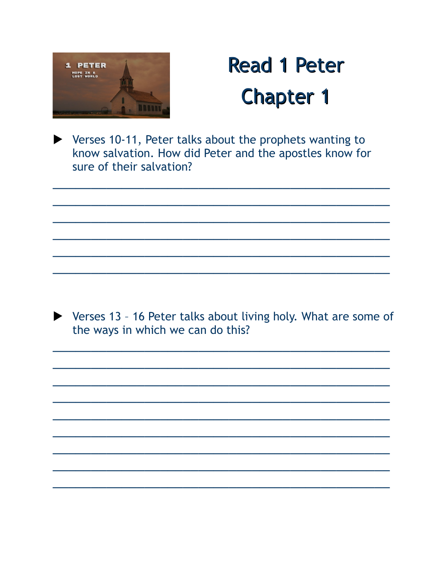

▶ Verses 10-11, Peter talks about the prophets wanting to know salvation. How did Peter and the apostles know for sure of their salvation?

▶ Verses 13 - 16 Peter talks about living holy. What are some of the ways in which we can do this?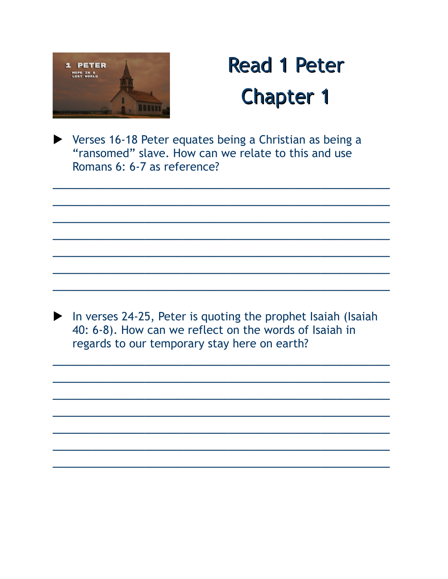

Verses 16-18 Peter equates being a Christian as being a "ransomed" slave. How can we relate to this and use Romans 6: 6-7 as reference?

In verses 24-25, Peter is quoting the prophet Isaiah (Isaiah 40: 6-8). How can we reflect on the words of Isaiah in regards to our temporary stay here on earth?